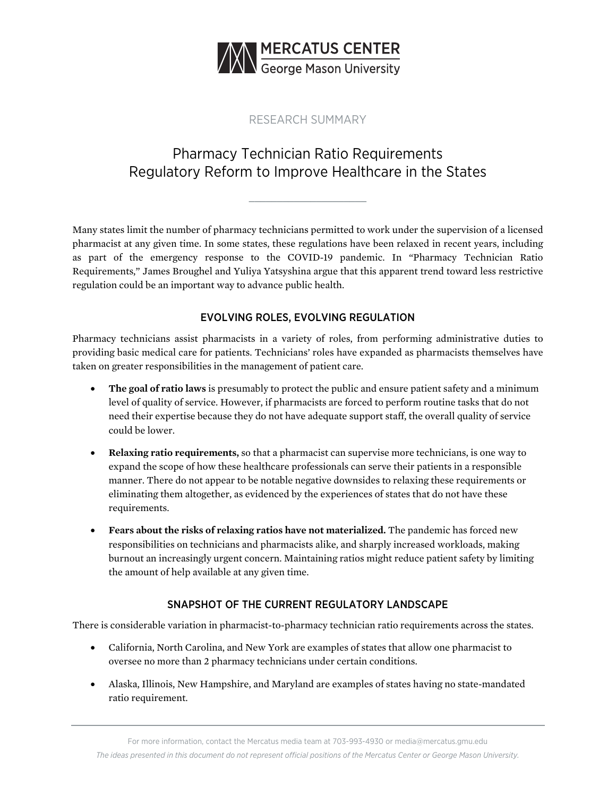

## RESEARCH SUMMARY

# Pharmacy Technician Ratio Requirements Regulatory Reform to Improve Healthcare in the States

**\_\_\_\_\_\_\_\_\_\_\_\_\_\_\_\_\_\_\_\_\_** 

Many states limit the number of pharmacy technicians permitted to work under the supervision of a licensed pharmacist at any given time. In some states, these regulations have been relaxed in recent years, including as part of the emergency response to the COVID-19 pandemic. In "Pharmacy Technician Ratio Requirements," James Broughel and Yuliya Yatsyshina argue that this apparent trend toward less restrictive regulation could be an important way to advance public health.

## EVOLVING ROLES, EVOLVING REGULATION

Pharmacy technicians assist pharmacists in a variety of roles, from performing administrative duties to providing basic medical care for patients. Technicians' roles have expanded as pharmacists themselves have taken on greater responsibilities in the management of patient care.

- **The goal of ratio laws** is presumably to protect the public and ensure patient safety and a minimum level of quality of service. However, if pharmacists are forced to perform routine tasks that do not need their expertise because they do not have adequate support staff, the overall quality of service could be lower.
- **Relaxing ratio requirements,** so that a pharmacist can supervise more technicians, is one way to expand the scope of how these healthcare professionals can serve their patients in a responsible manner. There do not appear to be notable negative downsides to relaxing these requirements or eliminating them altogether, as evidenced by the experiences of states that do not have these requirements.
- **Fears about the risks of relaxing ratios have not materialized.** The pandemic has forced new responsibilities on technicians and pharmacists alike, and sharply increased workloads, making burnout an increasingly urgent concern. Maintaining ratios might reduce patient safety by limiting the amount of help available at any given time.

#### SNAPSHOT OF THE CURRENT REGULATORY LANDSCAPE

There is considerable variation in pharmacist-to-pharmacy technician ratio requirements across the states.

- California, North Carolina, and New York are examples of states that allow one pharmacist to oversee no more than 2 pharmacy technicians under certain conditions.
- Alaska, Illinois, New Hampshire, and Maryland are examples of states having no state-mandated ratio requirement.